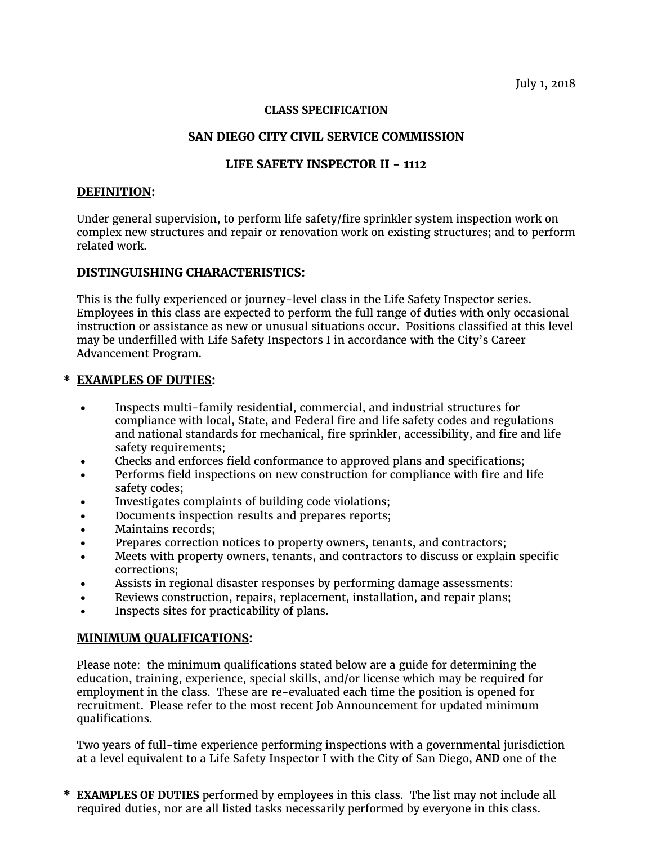#### **CLASS SPECIFICATION**

## **SAN DIEGO CITY CIVIL SERVICE COMMISSION**

# **LIFE SAFETY INSPECTOR II - 1112**

### **DEFINITION:**

Under general supervision, to perform life safety/fire sprinkler system inspection work on complex new structures and repair or renovation work on existing structures; and to perform related work.

## **DISTINGUISHING CHARACTERISTICS:**

This is the fully experienced or journey-level class in the Life Safety Inspector series. Employees in this class are expected to perform the full range of duties with only occasional instruction or assistance as new or unusual situations occur. Positions classified at this level may be underfilled with Life Safety Inspectors I in accordance with the City's Career Advancement Program.

## **\* EXAMPLES OF DUTIES:**

- Inspects multi-family residential, commercial, and industrial structures for compliance with local, State, and Federal fire and life safety codes and regulations and national standards for mechanical, fire sprinkler, accessibility, and fire and life safety requirements;
- Checks and enforces field conformance to approved plans and specifications;
- Performs field inspections on new construction for compliance with fire and life safety codes;
- Investigates complaints of building code violations;
- Documents inspection results and prepares reports;
- Maintains records;
- Prepares correction notices to property owners, tenants, and contractors;
- Meets with property owners, tenants, and contractors to discuss or explain specific corrections;
- Assists in regional disaster responses by performing damage assessments:
- Reviews construction, repairs, replacement, installation, and repair plans;
- Inspects sites for practicability of plans.

## **MINIMUM QUALIFICATIONS:**

Please note: the minimum qualifications stated below are a guide for determining the education, training, experience, special skills, and/or license which may be required for employment in the class. These are re-evaluated each time the position is opened for recruitment. Please refer to the most recent Job Announcement for updated minimum qualifications.

Two years of full-time experience performing inspections with a governmental jurisdiction at a level equivalent to a Life Safety Inspector I with the City of San Diego, **AND** one of the

**\* EXAMPLES OF DUTIES** performed by employees in this class. The list may not include all required duties, nor are all listed tasks necessarily performed by everyone in this class.